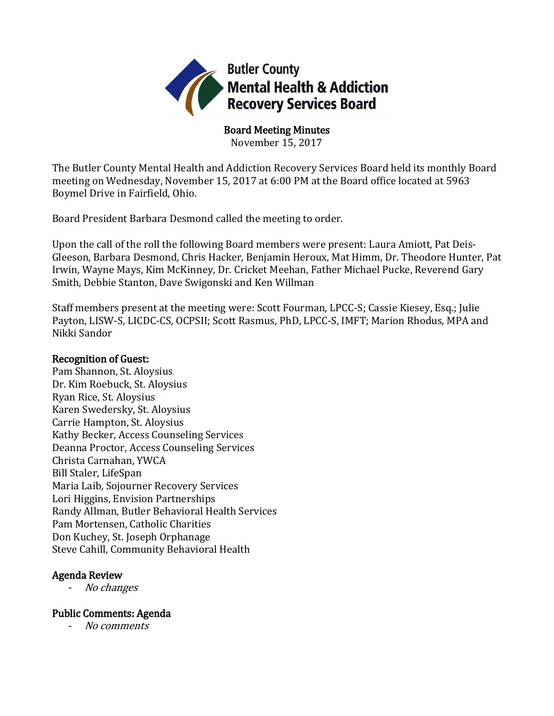

Board Meeting Minutes

November 15, 2017

The Butler County Mental Health and Addiction Recovery Services Board held its monthly Board meeting on Wednesday, November 15, 2017 at 6:00 PM at the Board office located at 5963 Boymel Drive in Fairfield, Ohio.

Board President Barbara Desmond called the meeting to order.

Upon the call of the roll the following Board members were present: Laura Amiott, Pat Deis-Gleeson, Barbara Desmond, Chris Hacker, Benjamin Heroux, Mat Himm, Dr. Theodore Hunter, Pat Irwin, Wayne Mays, Kim McKinney, Dr. Cricket Meehan, Father Michael Pucke, Reverend Gary Smith, Debbie Stanton, Dave Swigonski and Ken Willman

Staff members present at the meeting were: Scott Fourman, LPCC-S; Cassie Kiesey, Esq.; Julie Payton, LISW-S, LICDC-CS, OCPSII; Scott Rasmus, PhD, LPCC-S, IMFT; Marion Rhodus, MPA and Nikki Sandor

### Recognition of Guest:

Pam Shannon, St. Aloysius Dr. Kim Roebuck, St. Aloysius Ryan Rice, St. Aloysius Karen Swedersky, St. Aloysius Carrie Hampton, St. Aloysius Kathy Becker, Access Counseling Services Deanna Proctor, Access Counseling Services Christa Carnahan, YWCA Bill Staler, LifeSpan Maria Laib, Sojourner Recovery Services Lori Higgins, Envision Partnerships Randy Allman, Butler Behavioral Health Services Pam Mortensen, Catholic Charities Don Kuchey, St. Joseph Orphanage Steve Cahill, Community Behavioral Health

## Agenda Review

No changes

## Public Comments: Agenda

- No comments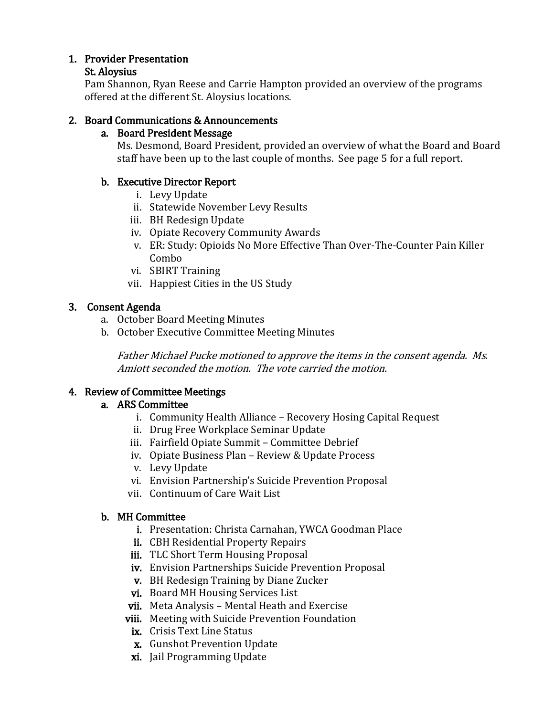# 1. Provider Presentation

### St. Aloysius

Pam Shannon, Ryan Reese and Carrie Hampton provided an overview of the programs offered at the different St. Aloysius locations.

# 2. Board Communications & Announcements

# a. Board President Message

Ms. Desmond, Board President, provided an overview of what the Board and Board staff have been up to the last couple of months. See page 5 for a full report.

# b. Executive Director Report

- i. Levy Update
- ii. Statewide November Levy Results
- iii. BH Redesign Update
- iv. Opiate Recovery Community Awards
- v. ER: Study: Opioids No More Effective Than Over-The-Counter Pain Killer Combo
- vi. SBIRT Training
- vii. Happiest Cities in the US Study

# 3. Consent Agenda

- a. October Board Meeting Minutes
- b. October Executive Committee Meeting Minutes

Father Michael Pucke motioned to approve the items in the consent agenda. Ms. Amiott seconded the motion. The vote carried the motion.

# 4. Review of Committee Meetings

## a. ARS Committee

- i. Community Health Alliance Recovery Hosing Capital Request
- ii. Drug Free Workplace Seminar Update
- iii. Fairfield Opiate Summit Committee Debrief
- iv. Opiate Business Plan Review & Update Process
- v. Levy Update
- vi. Envision Partnership's Suicide Prevention Proposal
- vii. Continuum of Care Wait List

## b. MH Committee

- i. Presentation: Christa Carnahan, YWCA Goodman Place
- ii. CBH Residential Property Repairs
- iii. TLC Short Term Housing Proposal
- iv. Envision Partnerships Suicide Prevention Proposal
- v. BH Redesign Training by Diane Zucker
- vi. Board MH Housing Services List
- vii. Meta Analysis Mental Heath and Exercise
- viii. Meeting with Suicide Prevention Foundation
	- ix. Crisis Text Line Status
	- x. Gunshot Prevention Update
	- xi. Jail Programming Update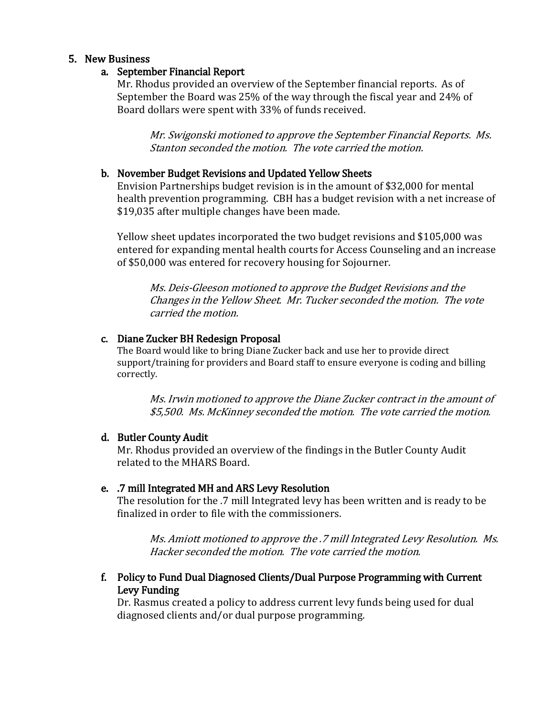### 5. New Business

#### a. September Financial Report

Mr. Rhodus provided an overview of the September financial reports. As of September the Board was 25% of the way through the fiscal year and 24% of Board dollars were spent with 33% of funds received.

Mr. Swigonski motioned to approve the September Financial Reports. Ms. Stanton seconded the motion. The vote carried the motion.

#### b. November Budget Revisions and Updated Yellow Sheets

Envision Partnerships budget revision is in the amount of \$32,000 for mental health prevention programming. CBH has a budget revision with a net increase of \$19,035 after multiple changes have been made.

Yellow sheet updates incorporated the two budget revisions and \$105,000 was entered for expanding mental health courts for Access Counseling and an increase of \$50,000 was entered for recovery housing for Sojourner.

Ms. Deis-Gleeson motioned to approve the Budget Revisions and the Changes in the Yellow Sheet. Mr. Tucker seconded the motion. The vote carried the motion.

### c. Diane Zucker BH Redesign Proposal

The Board would like to bring Diane Zucker back and use her to provide direct support/training for providers and Board staff to ensure everyone is coding and billing correctly.

Ms. Irwin motioned to approve the Diane Zucker contract in the amount of \$5,500. Ms. McKinney seconded the motion. The vote carried the motion.

#### d. Butler County Audit

Mr. Rhodus provided an overview of the findings in the Butler County Audit related to the MHARS Board.

### e. .7 mill Integrated MH and ARS Levy Resolution

The resolution for the .7 mill Integrated levy has been written and is ready to be finalized in order to file with the commissioners.

Ms. Amiott motioned to approve the .7 mill Integrated Levy Resolution. Ms. Hacker seconded the motion. The vote carried the motion.

### f. Policy to Fund Dual Diagnosed Clients/Dual Purpose Programming with Current Levy Funding

Dr. Rasmus created a policy to address current levy funds being used for dual diagnosed clients and/or dual purpose programming.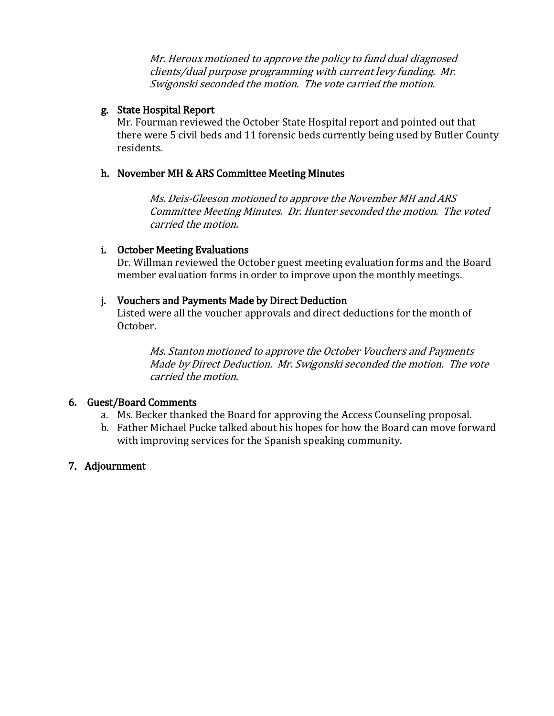Mr. Heroux motioned to approve the policy to fund dual diagnosed clients/dual purpose programming with current levy funding. Mr. Swigonski seconded the motion. The vote carried the motion.

## g. State Hospital Report

Mr. Fourman reviewed the October State Hospital report and pointed out that there were 5 civil beds and 11 forensic beds currently being used by Butler County residents.

## h. November MH & ARS Committee Meeting Minutes

Ms. Deis-Gleeson motioned to approve the November MH and ARS Committee Meeting Minutes. Dr. Hunter seconded the motion. The voted carried the motion.

## i. October Meeting Evaluations

Dr. Willman reviewed the October guest meeting evaluation forms and the Board member evaluation forms in order to improve upon the monthly meetings.

## j. Vouchers and Payments Made by Direct Deduction

Listed were all the voucher approvals and direct deductions for the month of October.

Ms. Stanton motioned to approve the October Vouchers and Payments Made by Direct Deduction. Mr. Swigonski seconded the motion. The vote carried the motion.

## 6. Guest/Board Comments

- a. Ms. Becker thanked the Board for approving the Access Counseling proposal.
- b. Father Michael Pucke talked about his hopes for how the Board can move forward with improving services for the Spanish speaking community.

## 7. Adjournment